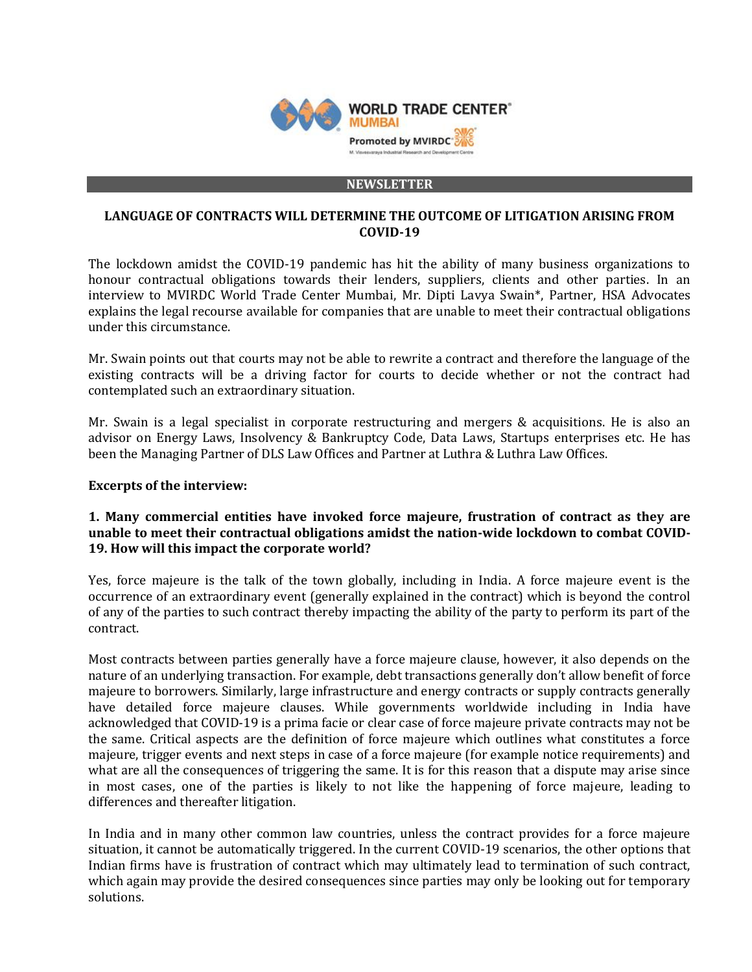

#### **NEWSLETTER**

### **LANGUAGE OF CONTRACTS WILL DETERMINE THE OUTCOME OF LITIGATION ARISING FROM COVID-19**

The lockdown amidst the COVID-19 pandemic has hit the ability of many business organizations to honour contractual obligations towards their lenders, suppliers, clients and other parties. In an interview to MVIRDC World Trade Center Mumbai, Mr. Dipti Lavya Swain\*, Partner, HSA Advocates explains the legal recourse available for companies that are unable to meet their contractual obligations under this circumstance.

Mr. Swain points out that courts may not be able to rewrite a contract and therefore the language of the existing contracts will be a driving factor for courts to decide whether or not the contract had contemplated such an extraordinary situation.

Mr. Swain is a legal specialist in corporate restructuring and mergers & acquisitions. He is also an advisor on Energy Laws, Insolvency & Bankruptcy Code, Data Laws, Startups enterprises etc. He has been the Managing Partner of DLS Law Offices and Partner at Luthra & Luthra Law Offices.

### **Excerpts of the interview:**

### **1. Many commercial entities have invoked force majeure, frustration of contract as they are unable to meet their contractual obligations amidst the nation-wide lockdown to combat COVID-19. How will this impact the corporate world?**

Yes, force majeure is the talk of the town globally, including in India. A force majeure event is the occurrence of an extraordinary event (generally explained in the contract) which is beyond the control of any of the parties to such contract thereby impacting the ability of the party to perform its part of the contract.

Most contracts between parties generally have a force majeure clause, however, it also depends on the nature of an underlying transaction. For example, debt transactions generally don't allow benefit of force majeure to borrowers. Similarly, large infrastructure and energy contracts or supply contracts generally have detailed force majeure clauses. While governments worldwide including in India have acknowledged that COVID-19 is a prima facie or clear case of force majeure private contracts may not be the same. Critical aspects are the definition of force majeure which outlines what constitutes a force majeure, trigger events and next steps in case of a force majeure (for example notice requirements) and what are all the consequences of triggering the same. It is for this reason that a dispute may arise since in most cases, one of the parties is likely to not like the happening of force majeure, leading to differences and thereafter litigation.

In India and in many other common law countries, unless the contract provides for a force majeure situation, it cannot be automatically triggered. In the current COVID-19 scenarios, the other options that Indian firms have is frustration of contract which may ultimately lead to termination of such contract, which again may provide the desired consequences since parties may only be looking out for temporary solutions.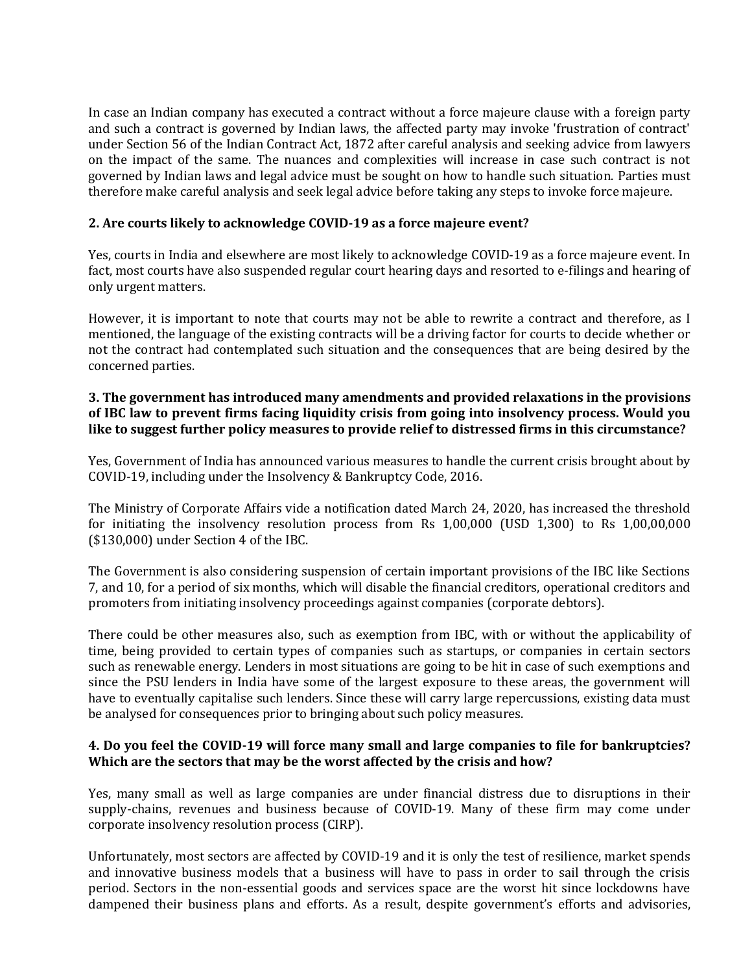In case an Indian company has executed a contract without a force majeure clause with a foreign party and such a contract is governed by Indian laws, the affected party may invoke 'frustration of contract' under Section 56 of the Indian Contract Act, 1872 after careful analysis and seeking advice from lawyers on the impact of the same. The nuances and complexities will increase in case such contract is not governed by Indian laws and legal advice must be sought on how to handle such situation. Parties must therefore make careful analysis and seek legal advice before taking any steps to invoke force majeure.

# **2. Are courts likely to acknowledge COVID-19 as a force majeure event?**

Yes, courts in India and elsewhere are most likely to acknowledge COVID-19 as a force majeure event. In fact, most courts have also suspended regular court hearing days and resorted to e-filings and hearing of only urgent matters.

However, it is important to note that courts may not be able to rewrite a contract and therefore, as I mentioned, the language of the existing contracts will be a driving factor for courts to decide whether or not the contract had contemplated such situation and the consequences that are being desired by the concerned parties.

# **3. The government has introduced many amendments and provided relaxations in the provisions of IBC law to prevent firms facing liquidity crisis from going into insolvency process. Would you like to suggest further policy measures to provide relief to distressed firms in this circumstance?**

Yes, Government of India has announced various measures to handle the current crisis brought about by COVID-19, including under the Insolvency & Bankruptcy Code, 2016.

The Ministry of Corporate Affairs vide a notification dated March 24, 2020, has increased the threshold for initiating the insolvency resolution process from Rs 1,00,000 (USD 1,300) to Rs 1,00,00,000 (\$130,000) under Section 4 of the IBC.

The Government is also considering suspension of certain important provisions of the IBC like Sections 7, and 10, for a period of six months, which will disable the financial creditors, operational creditors and promoters from initiating insolvency proceedings against companies (corporate debtors).

There could be other measures also, such as exemption from IBC, with or without the applicability of time, being provided to certain types of companies such as startups, or companies in certain sectors such as renewable energy. Lenders in most situations are going to be hit in case of such exemptions and since the PSU lenders in India have some of the largest exposure to these areas, the government will have to eventually capitalise such lenders. Since these will carry large repercussions, existing data must be analysed for consequences prior to bringing about such policy measures.

# **4. Do you feel the COVID-19 will force many small and large companies to file for bankruptcies? Which are the sectors that may be the worst affected by the crisis and how?**

Yes, many small as well as large companies are under financial distress due to disruptions in their supply-chains, revenues and business because of COVID-19. Many of these firm may come under corporate insolvency resolution process (CIRP).

Unfortunately, most sectors are affected by COVID-19 and it is only the test of resilience, market spends and innovative business models that a business will have to pass in order to sail through the crisis period. Sectors in the non-essential goods and services space are the worst hit since lockdowns have dampened their business plans and efforts. As a result, despite government's efforts and advisories,